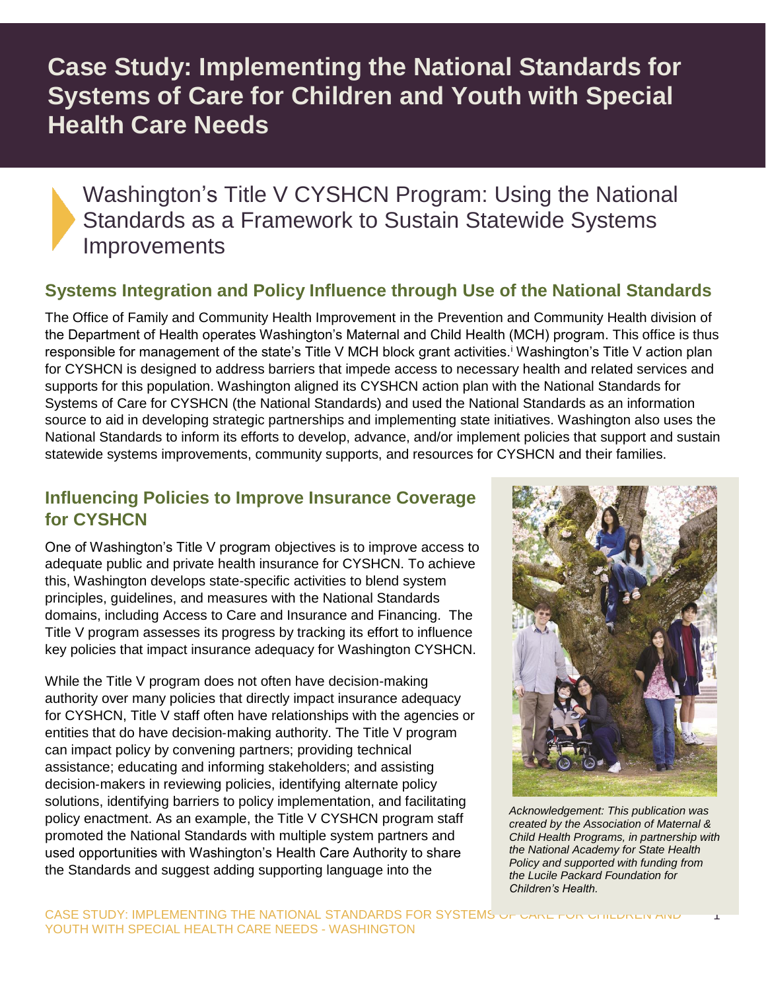# **Case Study: Implementing the National Standards for Systems of Care for Children and Youth with Special Health Care Needs**

# Washington's Title V CYSHCN Program: Using the National Standards as a Framework to Sustain Statewide Systems **Improvements**

## **Systems Integration and Policy Influence through Use of the National Standards**

The Office of Family and Community Health Improvement in the Prevention and Community Health division of the Department of Health operates Washington's Maternal and Child Health (MCH) program. This office is thus responsible for management of the state's Title V MCH block grant activities.<sup>i</sup> Washington's Title V action plan for CYSHCN is designed to address barriers that impede access to necessary health and related services and supports for this population. Washington aligned its CYSHCN action plan with the National Standards for Systems of Care for CYSHCN (the National Standards) and used the National Standards as an information source to aid in developing strategic partnerships and implementing state initiatives. Washington also uses the National Standards to inform its efforts to develop, advance, and/or implement policies that support and sustain statewide systems improvements, community supports, and resources for CYSHCN and their families.

#### **Influencing Policies to Improve Insurance Coverage for CYSHCN**

One of Washington's Title V program objectives is to improve access to adequate public and private health insurance for CYSHCN. To achieve this, Washington develops state-specific activities to blend system principles, guidelines, and measures with the National Standards domains, including Access to Care and Insurance and Financing. The Title V program assesses its progress by tracking its effort to influence key policies that impact insurance adequacy for Washington CYSHCN.

While the Title V program does not often have decision-making authority over many policies that directly impact insurance adequacy for CYSHCN, Title V staff often have relationships with the agencies or entities that do have decision‐making authority. The Title V program can impact policy by convening partners; providing technical assistance; educating and informing stakeholders; and assisting decision‐makers in reviewing policies, identifying alternate policy solutions, identifying barriers to policy implementation, and facilitating policy enactment. As an example, the Title V CYSHCN program staff promoted the National Standards with multiple system partners and used opportunities with Washington's Health Care Authority to share the Standards and suggest adding supporting language into the



*Acknowledgement: This publication was created by the Association of Maternal & Child Health Programs, in partnership with the National Academy for State Health Policy and supported with funding from the Lucile Packard Foundation for Children's Health.*

1